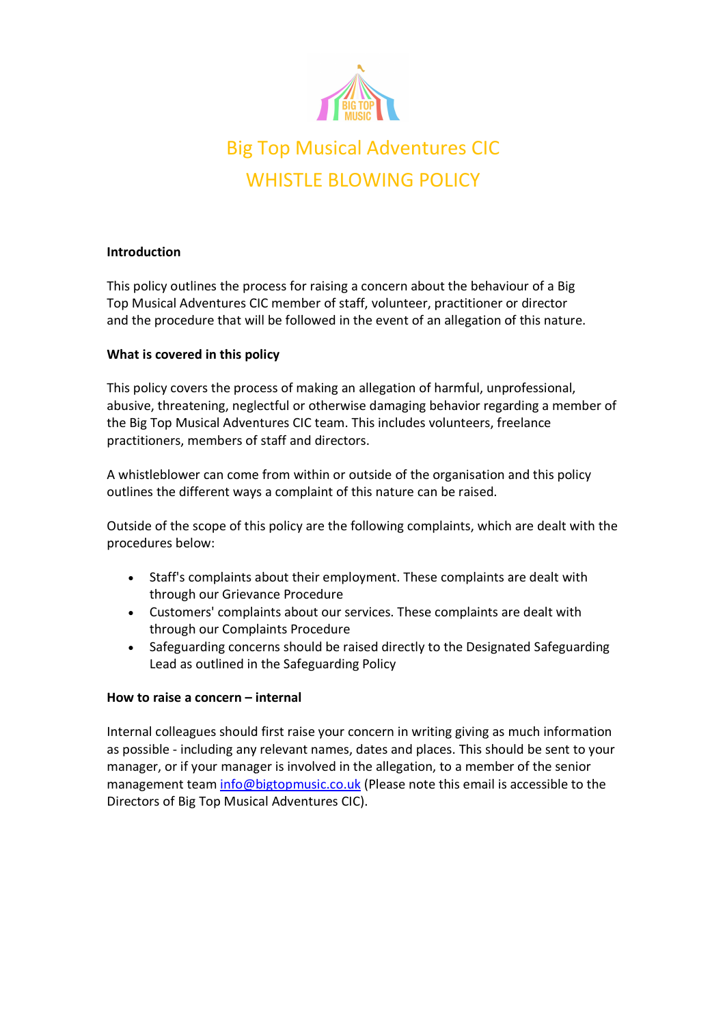

# Big Top Musical Adv Top Musical Adventures CIC WHISTLE BLOWING POLICY

## Introduction

This policy outlines the process for raising a concern about the behaviour of a Big Top Musical Adventures CIC member of staff, volunteer, practitioner or director and the procedure that will be followed in the event of an allegation of this nature.

## What is covered in this policy

This policy covers the process of making an allegation of harmful, unprofessional, This policy covers the process of making an allegation of harmful, unprofessional, abusive, threatening, neglectful or otherwise damaging behavior regarding a member of abusive, threatening, neglectful or otherwise damaging behavior regarding a member of abusive, threatening, neglectful or otherwise damaging behavior regarding a member of<br>the Big Top Musical Adventures CIC team. This includes volunteers, freelance practitioners, members of staff and directors.

A whistleblower can come from within or outside of the organisation and this policy A whistleblower can come from within or outside of the organisation and this policy A whistleblower can come from within or outside of the organisation<br>outlines the different ways a complaint of this nature can be raised.

Outside of the scope of this policy are the following complaints, which are dealt with the procedures below:

- Staff's complaints about their employment. These complaints are dealt with Staff's complaints about their employment. These complaints are dealt with through our Grievance Procedure
- Customers' complaints about our services. These complaints are dealt with<br>through our Complaints Procedure through our Complaints
- Safeguarding concerns should be raised directly to the Designated Safeguarding Safeguarding Safeguarding Policy Safeguarding concerns should be raised directly to the Designated Safeguarding Lead as outlined in the Safeguarding

## How to raise a concern – internal

Internal colleagues should first raise your concern in writing giving as much informati Internal colleagues should first raise your concern in writing giving as much information as possible - including any relevant names, dates and places. This should be sent to your manager, or if your manager is involved in the allegation, to a member of the senior manager, or if your manager is involved in the allegation, to a member of the senior Internal colleagues should first raise your concern in writing giving as much information<br>as possible - including any relevant names, dates and places. This should be sent to your<br>manager, or if your manager is involved in Directors of Big Top Musical Adventures CIC).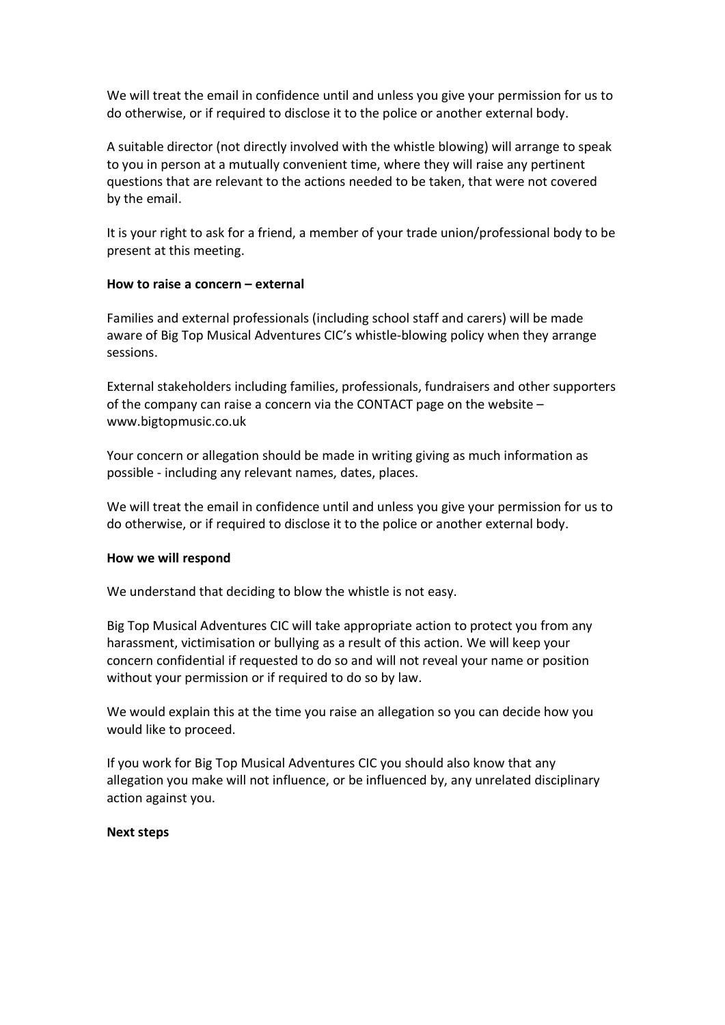We will treat the email in confidence until and unless you give your permission for us to do otherwise, or if required to disclose it to the police or another external body.

A suitable director (not directly involved with the whistle blowing) will arrange to speak to you in person at a mutually convenient time, where they will raise any pertinent questions that are relevant to the actions needed to be taken, that were not covered by the email.

It is your right to ask for a friend, a member of your trade union/professional body to be present at this meeting.

#### How to raise a concern – external

Families and external professionals (including school staff and carers) will be made aware of Big Top Musical Adventures CIC's whistle-blowing policy when they arrange sessions.

External stakeholders including families, professionals, fundraisers and other supporters of the company can raise a concern via the CONTACT page on the website – www.bigtopmusic.co.uk

Your concern or allegation should be made in writing giving as much information as possible - including any relevant names, dates, places.

We will treat the email in confidence until and unless you give your permission for us to do otherwise, or if required to disclose it to the police or another external body.

## How we will respond

We understand that deciding to blow the whistle is not easy.

Big Top Musical Adventures CIC will take appropriate action to protect you from any harassment, victimisation or bullying as a result of this action. We will keep your concern confidential if requested to do so and will not reveal your name or position without your permission or if required to do so by law.

We would explain this at the time you raise an allegation so you can decide how you would like to proceed.

If you work for Big Top Musical Adventures CIC you should also know that any allegation you make will not influence, or be influenced by, any unrelated disciplinary action against you.

#### Next steps